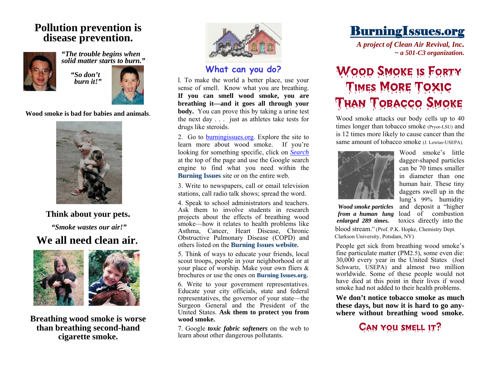#### **Pollution prevention is disease prevention.**





 *"So don't burn it!"* 



**Wood smoke is bad for babies and animals**.



**Think about your pets.**   *"Smoke wastes our air!"* 

#### **We all need clean air.**



**Breathing wood smoke is worse than breathing second-hand cigarette smoke.** 



#### **What can you do?**

l. To make the world a better place, use your sense of smell. Know what you are breathing. **If you can smell wood smoke, you are breathing it—and it goes all through your body.** You can prove this by taking a urine test the next day . . . just as athletes take tests for drugs like steroids.

2. Go to [burningissues.org](http://www.burningissues.org/). Explore the site to learn more about wood smoke. If you're looking for something specific, click on *Search* at the top of the page and use the Google search engine to find what you need within the **Burning Issues** site or on the entire web.

3. Write to newspapers, call or email television stations, call radio talk shows; spread the word.

4. Speak to school administrators and teachers. Ask them to involve students in research projects about the effects of breathing wood smoke—how it relates to health problems like Asthma, Cancer, Heart Disease, Chronic Obstructive Pulmonary Disease (COPD) and others listed on the **Burning Issues website.**

5. Think of ways to educate your friends, local scout troops, people in your neighborhood or at your place of worship. Make your own fliers &brochures or use the ones on **Burning Issues.org.**

6. Write to your government representatives. Educate your city officials, state and federal representatives, the governor of your state—the Surgeon General and the President of the United States. **Ask them to protect you from wood smoke.** 

7. Google *toxic fabric softeners* on the web to learn about other dangerous pollutants.

BurningIssues.org

 *A project of Clean Air Revival, Inc. ~ a 501-C3 organization.* 

## Wood Smoke is Forty Times More Toxic Than Tobacco Smoke

Wood smoke attacks our body cells up to 40 times longer than tobacco smoke (Pryor-LSU) and is 12 times more likely to cause cancer than the same amount of tobacco smoke (J. Lewtas-USEPA).



Wood smoke's little dagger-shaped particles can be 70 times smaller in diameter than one human hair. These tiny daggers swell up in the lung's 99% humidity  *Wood smoke particles* and deposit a "higher  *from a human lung* load of combustion

*enlarged 289 times.* toxics directly into the blood stream." (Prof. P.K. Hopke, Chemistry Dept. Clarkson University, Potsdam, NY)

People get sick from breathing wood smoke's fine particulate matter (PM2.5), some even die: 30,000 every year in the United States (Joel Schwartz, USEPA) and almost two million worldwide. Some of these people would not have died at this point in their lives if wood smoke had not added to their health problems.

**We don't notice tobacco smoke as much these days, but now it is hard to go anywhere without breathing wood smoke.** 

### Can you smell it?